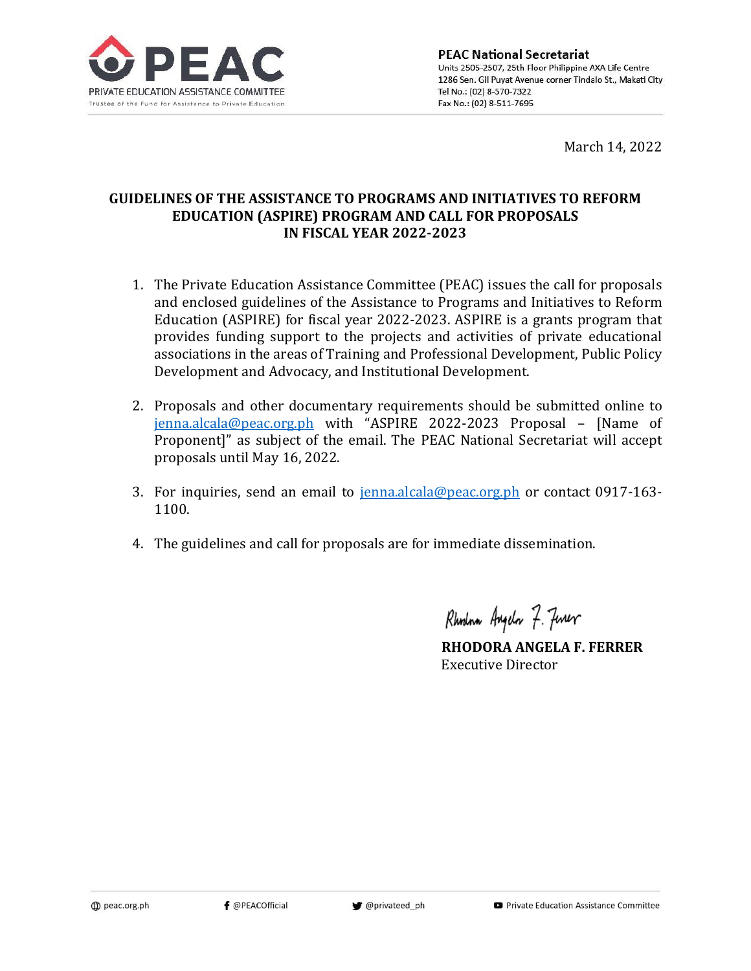

March 14, 2022

# **GUIDELINES OF THE ASSISTANCE TO PROGRAMS AND INITIATIVES TO REFORM EDUCATION (ASPIRE) PROGRAM AND CALL FOR PROPOSALS IN FISCAL YEAR 2022-2023**

- 1. The Private Education Assistance Committee (PEAC) issues the call for proposals and enclosed guidelines of the Assistance to Programs and Initiatives to Reform Education (ASPIRE) for fiscal year 2022-2023. ASPIRE is a grants program that provides funding support to the projects and activities of private educational associations in the areas of Training and Professional Development, Public Policy Development and Advocacy, and Institutional Development.
- 2. Proposals and other documentary requirements should be submitted online to [jenna.alcala@peac.org.ph](mailto:jenna.alcala@peac.org.ph) with "ASPIRE 2022-2023 Proposal – [Name of Proponent]" as subject of the email. The PEAC National Secretariat will accept proposals until May 16, 2022.
- 3. For inquiries, send an email to [jenna.alcala@peac.org.ph](mailto:jenna.alcala@peac.org.ph) or contact 0917-163-1100.
- 4. The guidelines and call for proposals are for immediate dissemination.

Rhodna Angelo 7. Finer

**RHODORA ANGELA F. FERRER** Executive Director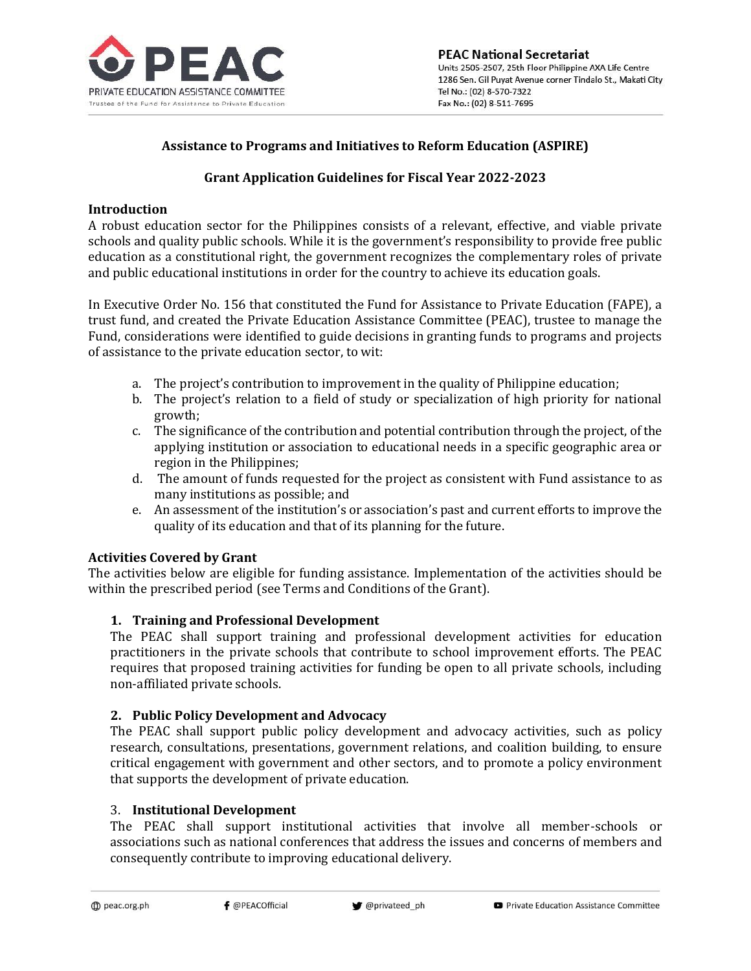

# **Assistance to Programs and Initiatives to Reform Education (ASPIRE)**

# **Grant Application Guidelines for Fiscal Year 2022-2023**

## **Introduction**

A robust education sector for the Philippines consists of a relevant, effective, and viable private schools and quality public schools. While it is the government's responsibility to provide free public education as a constitutional right, the government recognizes the complementary roles of private and public educational institutions in order for the country to achieve its education goals.

In Executive Order No. 156 that constituted the Fund for Assistance to Private Education (FAPE), a trust fund, and created the Private Education Assistance Committee (PEAC), trustee to manage the Fund, considerations were identified to guide decisions in granting funds to programs and projects of assistance to the private education sector, to wit:

- a. The project's contribution to improvement in the quality of Philippine education;
- b. The project's relation to a field of study or specialization of high priority for national growth;
- c. The significance of the contribution and potential contribution through the project, of the applying institution or association to educational needs in a specific geographic area or region in the Philippines;
- d. The amount of funds requested for the project as consistent with Fund assistance to as many institutions as possible; and
- e. An assessment of the institution's or association's past and current efforts to improve the quality of its education and that of its planning for the future.

## **Activities Covered by Grant**

The activities below are eligible for funding assistance. Implementation of the activities should be within the prescribed period (see Terms and Conditions of the Grant).

## **1. Training and Professional Development**

The PEAC shall support training and professional development activities for education practitioners in the private schools that contribute to school improvement efforts. The PEAC requires that proposed training activities for funding be open to all private schools, including non-affiliated private schools.

## **2. Public Policy Development and Advocacy**

The PEAC shall support public policy development and advocacy activities, such as policy research, consultations, presentations, government relations, and coalition building, to ensure critical engagement with government and other sectors, and to promote a policy environment that supports the development of private education.

### 3. **Institutional Development**

The PEAC shall support institutional activities that involve all member-schools or associations such as national conferences that address the issues and concerns of members and consequently contribute to improving educational delivery.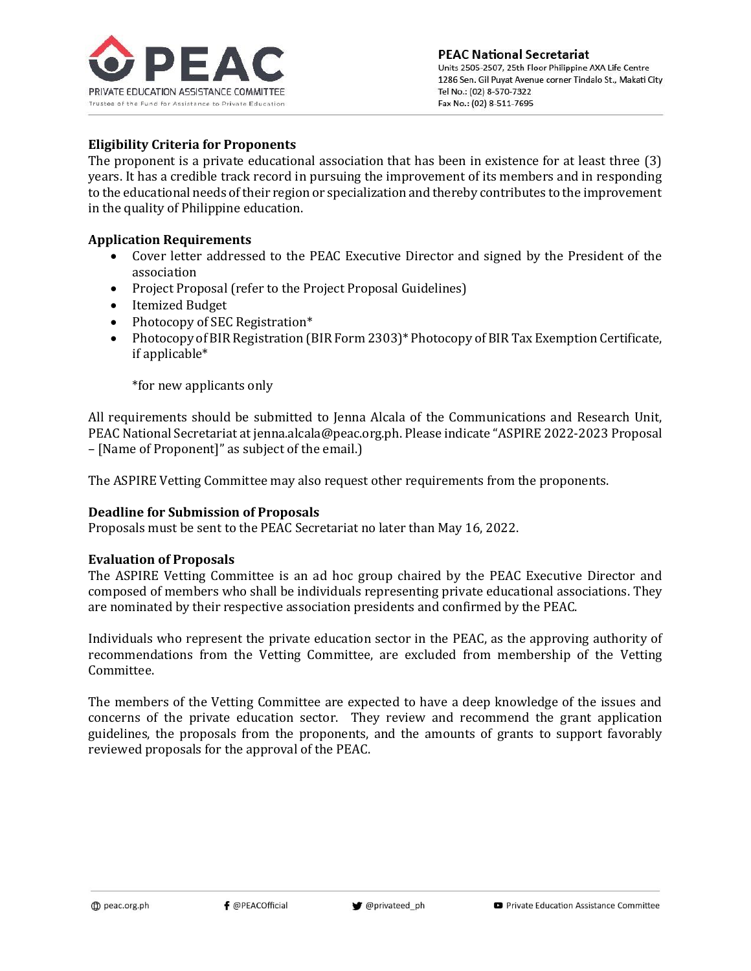

# **Eligibility Criteria for Proponents**

The proponent is a private educational association that has been in existence for at least three (3) years. It has a credible track record in pursuing the improvement of its members and in responding to the educational needs of their region or specialization and thereby contributes to the improvement in the quality of Philippine education.

### **Application Requirements**

- Cover letter addressed to the PEAC Executive Director and signed by the President of the association
- Project Proposal (refer to the Project Proposal Guidelines)
- Itemized Budget
- Photocopy of SEC Registration\*
- Photocopy of BIR Registration (BIR Form 2303)<sup>\*</sup> Photocopy of BIR Tax Exemption Certificate, if applicable\*

\*for new applicants only

All requirements should be submitted to Jenna Alcala of the Communications and Research Unit, PEAC National Secretariat at jenna.alcala@peac.org.ph. Please indicate "ASPIRE 2022-2023 Proposal – [Name of Proponent]" as subject of the email.)

The ASPIRE Vetting Committee may also request other requirements from the proponents.

### **Deadline for Submission of Proposals**

Proposals must be sent to the PEAC Secretariat no later than May 16, 2022.

### **Evaluation of Proposals**

The ASPIRE Vetting Committee is an ad hoc group chaired by the PEAC Executive Director and composed of members who shall be individuals representing private educational associations. They are nominated by their respective association presidents and confirmed by the PEAC.

Individuals who represent the private education sector in the PEAC, as the approving authority of recommendations from the Vetting Committee, are excluded from membership of the Vetting Committee.

The members of the Vetting Committee are expected to have a deep knowledge of the issues and concerns of the private education sector. They review and recommend the grant application guidelines, the proposals from the proponents, and the amounts of grants to support favorably reviewed proposals for the approval of the PEAC.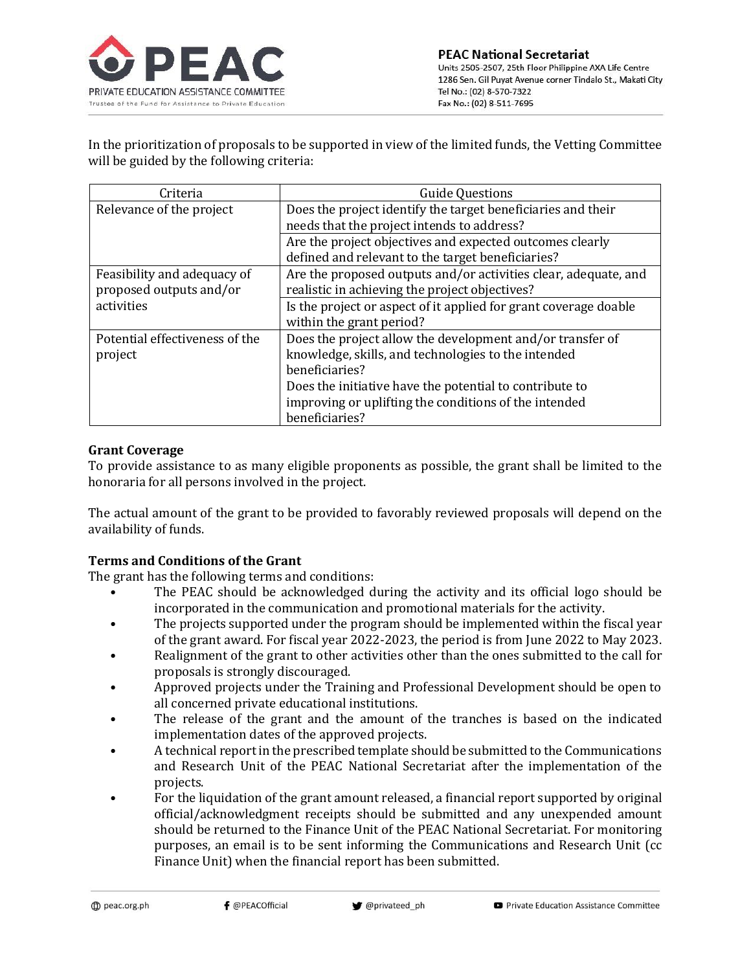

In the prioritization of proposals to be supported in view of the limited funds, the Vetting Committee will be guided by the following criteria:

| Criteria                       | <b>Guide Questions</b>                                           |  |
|--------------------------------|------------------------------------------------------------------|--|
| Relevance of the project       | Does the project identify the target beneficiaries and their     |  |
|                                | needs that the project intends to address?                       |  |
|                                | Are the project objectives and expected outcomes clearly         |  |
|                                | defined and relevant to the target beneficiaries?                |  |
| Feasibility and adequacy of    | Are the proposed outputs and/or activities clear, adequate, and  |  |
| proposed outputs and/or        | realistic in achieving the project objectives?                   |  |
| activities                     | Is the project or aspect of it applied for grant coverage doable |  |
|                                | within the grant period?                                         |  |
| Potential effectiveness of the | Does the project allow the development and/or transfer of        |  |
| project                        | knowledge, skills, and technologies to the intended              |  |
|                                | beneficiaries?                                                   |  |
|                                | Does the initiative have the potential to contribute to          |  |
|                                | improving or uplifting the conditions of the intended            |  |
|                                | beneficiaries?                                                   |  |

## **Grant Coverage**

To provide assistance to as many eligible proponents as possible, the grant shall be limited to the honoraria for all persons involved in the project.

The actual amount of the grant to be provided to favorably reviewed proposals will depend on the availability of funds.

## **Terms and Conditions of the Grant**

The grant has the following terms and conditions:

- The PEAC should be acknowledged during the activity and its official logo should be incorporated in the communication and promotional materials for the activity.
- The projects supported under the program should be implemented within the fiscal year of the grant award. For fiscal year 2022-2023, the period is from June 2022 to May 2023.
- Realignment of the grant to other activities other than the ones submitted to the call for proposals is strongly discouraged.
- Approved projects under the Training and Professional Development should be open to all concerned private educational institutions.
- The release of the grant and the amount of the tranches is based on the indicated implementation dates of the approved projects.
- A technical report in the prescribed template should be submitted to the Communications and Research Unit of the PEAC National Secretariat after the implementation of the projects.
- For the liquidation of the grant amount released, a financial report supported by original official/acknowledgment receipts should be submitted and any unexpended amount should be returned to the Finance Unit of the PEAC National Secretariat. For monitoring purposes, an email is to be sent informing the Communications and Research Unit (cc Finance Unit) when the financial report has been submitted.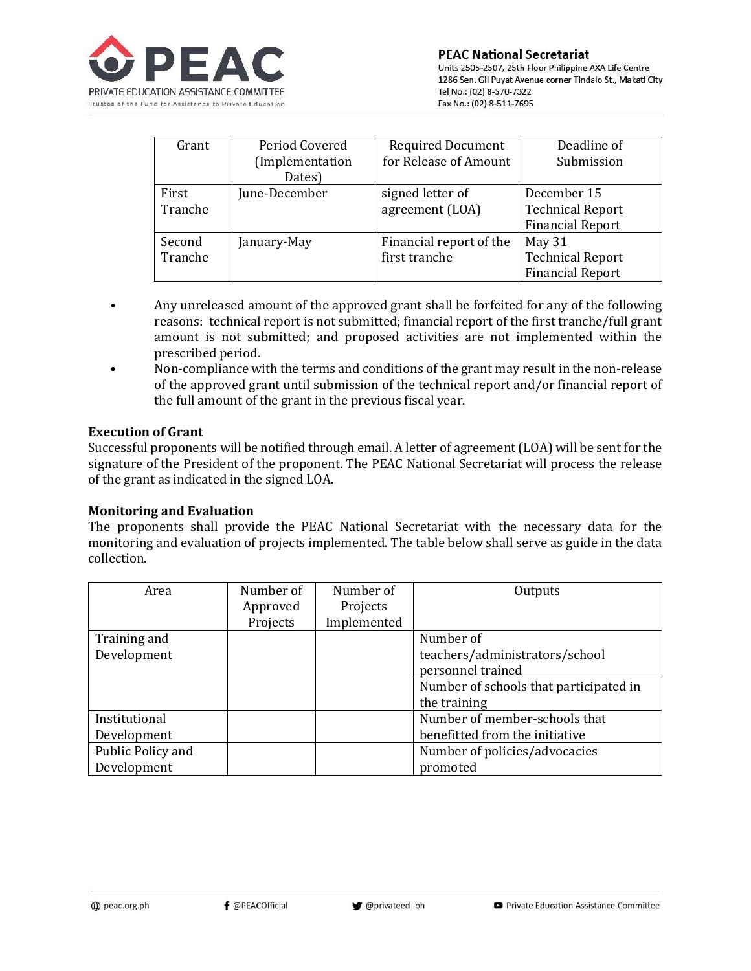

| Grant   | Period Covered  | <b>Required Document</b> | Deadline of             |
|---------|-----------------|--------------------------|-------------------------|
|         | (Implementation | for Release of Amount    | Submission              |
|         | Dates)          |                          |                         |
| First   | June-December   | signed letter of         | December 15             |
| Tranche |                 | agreement (LOA)          | <b>Technical Report</b> |
|         |                 |                          | <b>Financial Report</b> |
| Second  | January-May     | Financial report of the  | May 31                  |
| Tranche |                 | first tranche            | <b>Technical Report</b> |
|         |                 |                          | <b>Financial Report</b> |

- Any unreleased amount of the approved grant shall be forfeited for any of the following reasons: technical report is not submitted; financial report of the first tranche/full grant amount is not submitted; and proposed activities are not implemented within the prescribed period.
- Non-compliance with the terms and conditions of the grant may result in the non-release of the approved grant until submission of the technical report and/or financial report of the full amount of the grant in the previous fiscal year.

### **Execution of Grant**

Successful proponents will be notified through email. A letter of agreement (LOA) will be sent for the signature of the President of the proponent. The PEAC National Secretariat will process the release of the grant as indicated in the signed LOA.

### **Monitoring and Evaluation**

The proponents shall provide the PEAC National Secretariat with the necessary data for the monitoring and evaluation of projects implemented. The table below shall serve as guide in the data collection.

| Area              | Number of | Number of   | Outputs                                |
|-------------------|-----------|-------------|----------------------------------------|
|                   | Approved  | Projects    |                                        |
|                   | Projects  | Implemented |                                        |
| Training and      |           |             | Number of                              |
| Development       |           |             | teachers/administrators/school         |
|                   |           |             | personnel trained                      |
|                   |           |             | Number of schools that participated in |
|                   |           |             | the training                           |
| Institutional     |           |             | Number of member-schools that          |
| Development       |           |             | benefitted from the initiative         |
| Public Policy and |           |             | Number of policies/advocacies          |
| Development       |           |             | promoted                               |